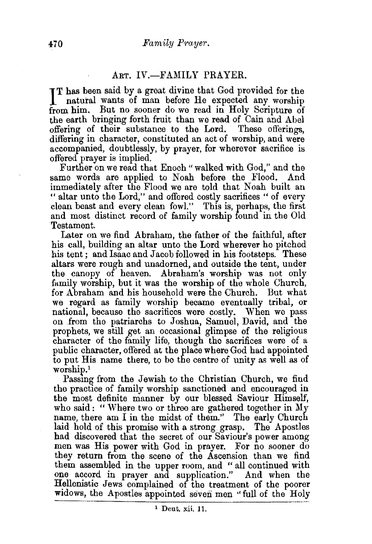## ART. IV.-FAMILY PRAYER.

IT has been said by a great divine that God provided for the natural wants of man before He expected any worship natural wants of man before He expected any worship from him. But no sooner do we read in Holy Scripture of the earth bringing forth fruit than we read of Cain and Abel offering of their substance to the Lord. These offerings, offering of their substance to the Lord. differing in character, constituted an act of worship, and were accompanied, doubtlessly, by prayer, for wherever sacrifice is offered prayer is implied.

Further on we read that Enoch "walked with God," and the same words are applied to Noah before the Flood. And immediately after the Flood we are told that Noah built an "altar unto the Lord," and offered costly sacrifices "of every clean beast and every clean fowl." This is, perhaps, the first and most distinct record of family worship found in the Old Testament.

Later on we find Abraham, the father of the faithful, after his call, building an altar unto the Lord wherever he pitched his tent; and Isaac and Jacob followed in his footsteps. These altars were rough and unadorned, and outside the tent, under the canopy of heaven. Abraham's worship was not only family worship, but it was the worship of the whole Church, for Abraham and his household were the Church. But what we regard as family worship became eventually tribal, or national, because the sacrifices were costly. When we pass on from the patriarchs to Joshua, Samuel, David, and the prophets, we still get an occasional glimpse of the religious character of the family life, though the sacrifices were of a public character, offered at the place where God had appointed to put His name there, to be the centre of unity as well as of worship.1

Passmg from the Jewish to the Christian Church, we find the practice of family worship sanctioned and encouraged in the most definite manner by our blessed Saviour Himself, who said: " Where two or three are gathered together in My name, there am I in the midst of them." The early Church laid hold of this promise with a strong grasp. The Apostles had discovered that the secret of our Saviour's power among men was His power with God in prayer. For no sooner do they return from the scene of the Ascension than we find them assembled in the upper room, and " all continued with one accord in prayer and supplication." And when the Hellenistic Jews complained of the treatment of the poorer widows, the Apostles appointed seven men "full of the Holy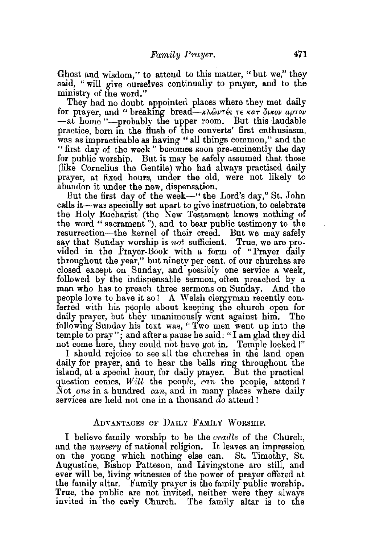Ghost and wisdom," to attend to this matter, " but we," they said, "will give ourselves continually to prayer, and to the ministry of the word."

They had no doubt appointed places where they met daily for prayer, and " breaking bread- $k\lambda$  w  $\tau$  or  $\epsilon$  war outov aptov -at home "-probably the upper room. But this laudable practice, born in the flush of the converts' first enthusiasm, was as impracticable as having "all things common," and the "first day of the week" becomes soon pre-eminently the day for public worship. But it may be safely assumed that those (like Cornelius the Gentile) who had always practised daily prayer, at fixed hours, under the old, were not likely to abandon it under the new, dispensation.

But the first day of the week-" the Lord's day," St. John calls it-was specially set apart to give instruction, to celebrate the Holy Eucharist (the New Testament knows nothing of the word "sacrament"), and to bear public testimony to the resurrection-the kernel of their creed. But we may safely say that Sunday worship is *not* sufficient. True, we are provided in the Prayer-Book with a form of "Prayer daily throughout the year," but ninety per cent. of our churches are closed except on Sunday, and possibly one service a week, followed by the indispensable sermon; often preached by a man who has to preach three sermons on Sunday. And the people love to have it so! A Welsh clergyman recently conferred with his people about keeping the church open for daily prayer, but they unanimously went against him. The following Sunday his text was, "Two men went up into the temple to pray"; and after a pause he said: "I am glad they did not come here, they could not have got in. Temple locked !"

I should rejoice to see all the churches in the land open daily for prayer, and to hear the bells ring throughout the island, at a special hour, for daily prayer. But the practical question comes, *Will* the people, *can* the people, attend 1 Not *one* in a hundred can, and in many places where daily services are held not one in a thousand *do* attend!

### ADVANTAGES OF DAILY FAMILY WORSHIP.

I believe family worship to be the *cradle* of the Church, and the *nursery* of national religion. It leaves an impression on the young which nothing else can. St. Timothy, St. Augustine, BIShop Patteson, and Livingstone are still, and ever will be, living witnesses of the power of prayer offered at the family altar. Family prayer is the family public worship. True, the public are not invited, neither were they always invited in the early Church. The family altar is to the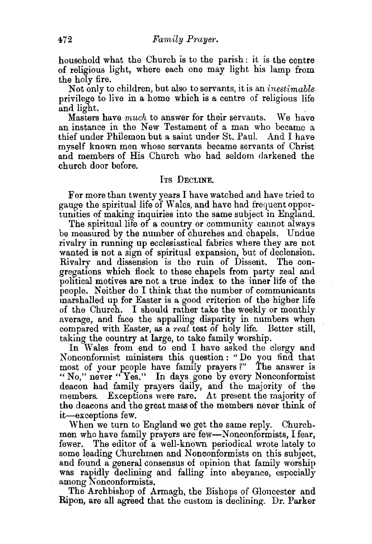household what the Church is to the parish : it is the centre of religious light, where each one may light his lamp from the holy fire.

Not only to children, but also to servants, it is an *inestimable* privilege to live in a home which is a centre of religious life and light.<br>Masters have *much* to answer for their servants. We have

an instance in the New Testament of a man who became a thief under Philemon but a saint under St. Paul. And I have myself known men whose servants became servants of Christ and members of His Church who had seldom darkened the church door before.

#### ITs DECLINE.

For more than twenty years I have watched and have tried to gauge the spiritual life of Wales, and have had frequent opportunities of making inquiries into the same subject in England.

The spiritual life of a country or community cannot always be measured by the number of churches and chapels. Undue rivalry in running up ecclesiastical fabrics where they are not wanted is not a sign of spiritual expansion, but of declension. Rivalry and dissension is the rum of Dissent. The congregations which flock to these chapels from party zeal and political motives are not a true index: to the inner life of the people. Neither do I think that the number of communicants marshalled up for Easter is a good criterion of the higher life of the Church. I should rather take the weekly or monthly average, and face the appalling disparity in numbers when compared with Easter, as a *real* test of holy life. Better still, taking the country at large, to take family worship.

In Wales from end to end I have asked the clergy and Nonconformist ministers this question: "Do you find that most of your people have family prayers ?" The answer is "No," never "Yes." In days gone by every Nonconformist deacon had family prayers daily, and the majority of the members. Exceptions were rare. At present the majority of the deacons and the great mass of the members never think of it-exceptions few.

When we turn to England we get the same reply. Churchmen who have family prayers are few-Nonconformists, I fear, fewer. The editor of a well-known periodical wrote lately to some leading Churchmen and Nonconformists on this subject, and found a general consensus of opinion that family worship was rapidly declining and falling into abeyance, especially among Nonconformists.

The Archbishop of Armagh, the Bishops of Gloucester and Ripon, are all agreed that the custom is declining. Dr. Parker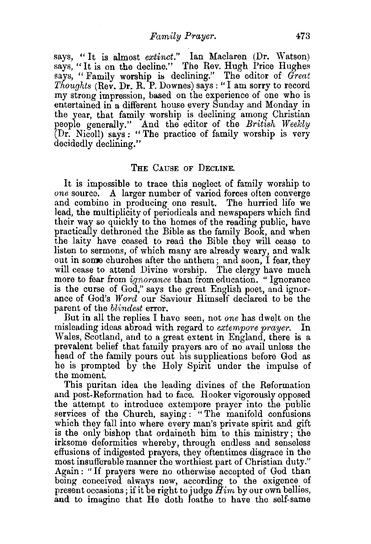says, "It is almost *extinct.*" Ian Maclaren (Dr. Watson) says, "It is on the decline." The Rev. Hugh Price Hughes says, "Family worship is declining." The editor of *Great Thoughts* (Rev. Dr. R. P. Downes) says:" I am sorry to record my strong impression, based on the experience of one who is entertained in a different house every Sunday and Monday in the year, that family worship is declining among Christian people generally." And the editor of the *British Weekly*  (Dr. Nicoll) says: "The practice of family worship is very decidedly declining."

## THE CAUSE OF DECLINE.

It is impossible to trace this neglect of family worship to *one* source. A larger number of varied forces often converge and combine in producing one result. The hurried life we lead, the multiplicity of periodicals and newspapers which find their way so quickly to the homes of the reading public, have practically dethroned the Bible as the family Book, and when the laity have ceased to read the Bible they will cease to listen to sermons, of which many are already weary, and walk out in some churches after the anthem; and soon, I fear, they will cease to attend Divine worship. The clergy have much more to fear from *ignorance* than from education. " Ignorance is the curse of God," says the great English poet, and ignorance of God's *Word* our Saviour Himself declared to be the parent of the *blindest* error.

But in all the replies I have seen, not *one* has dwelt on the misleading ideas abroad with regard to *extempore prayer.* In Wales, Scotland, and to a great extent in England, there is a prevalent belief that family prayers are of no avail unless the head of the family pours out his supplications before God as he is prompted by the Holy Spirit under the impulse of the moment.

This puritan idea the leading divines of the Reformation and post-Reformation had to face. Hooker vigorously opposed the attempt to introduce extempore prayer into the public services of the Church, saying : "The manifold confusions which they fall into where every man's private spirit and gift is the only bishop that ordaineth him to this ministry; the irksome deformities whereby, through endless and senseless effusions of indigested prayers, they oftentimes disgrace in the most insufferable manner the worthiest part of Christian duty." Again: "If prayers were no otherwise accepted of God than being conceived always new, according to the exigence of present occasions; if it be right to judge *Him* by our own bellies, and to imagine that He doth loathe to have the self-same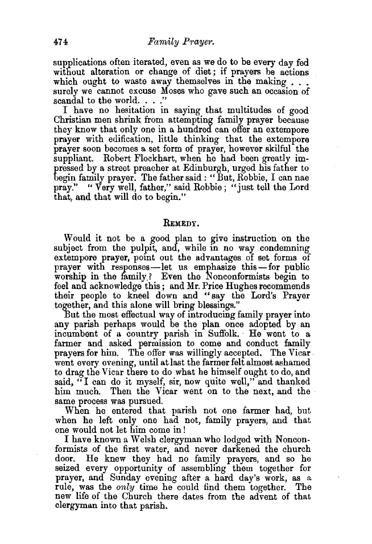supplications often iterated, even as we do to be every day fed without alteration or change of diet; if prayers be actions which ought to waste away themselves in the making  $\ldots$ surely we cannot excuse Moses who gave such an occasion of scandal to the world. . . ."

I have no hesitation in saying that multitudes of good Christian men shrink from attempting family prayer because they know that only one in a hundred can offer an extempore prayer with edification, little thinking that the extempore prayer soon becomes a set form of prayer, however skilful the suppliant. Robert Flockhart, when he had been greatly impressed by a street preacher at Edinburgh, urged his father to begin family prayer. The father said : "But, Robbie, I can nae pray." "Very well, father," said Robbie; "just tell the Lord that, and that will do to begin."

#### REMEDY.

Would it not be a good plan to give instruction on the subject from the pulpit, and, while in no way condemning extempore prayer, point out the advantages of set forms of prayer with responses-let us emphasize this-for public worship in the family? Even the Nonconformists begin to feel and acknowledge this; and Mr. Price Hughes recommends their people to kneel down and "say the Lord's Prayer together, and this alone will bring blessings."

But the most effectual way of introducing family prayer into any parish perhaps would be the plan once adopted by an incumbent of a country parish in Suffolk. He went to a farmer and asked permission to come and conduct family prayers for him. The offer was willingly accepted. The Vicar. went every evening, until at last the farmer felt almost ashamed to drag the Vicar there to do what he himself ought to do, and said, "I can do it myself, sir, now quite well," and thanked him much. Then the Vicar went on to the next, and the same process was pursued.

When he entered that parish not one farmer had, but when he left only one had not, family prayers, and that one would not let him come in l

I have known a Welsh clergyman who lodged with Nonconformists of the first water, and never darkened the church door. He knew they had no family prayers, and so he seized every opportunity of assembling them together for prayer, and Sunday evening after a hard day's work, as a rule, was the *only* time he could find them together. The new hfe of the Church there dates from the advent of that clergyman into that parish.